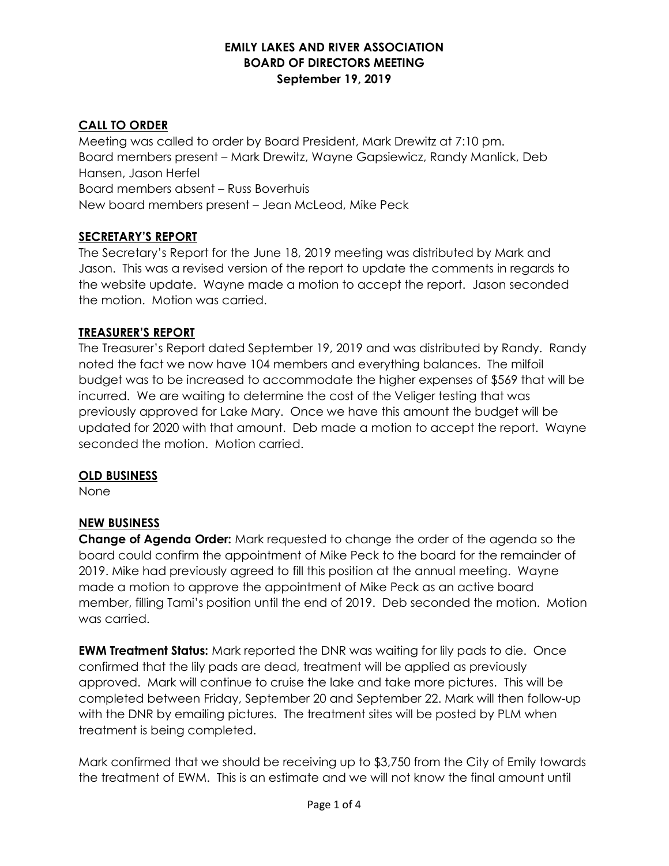# CALL TO ORDER

Meeting was called to order by Board President, Mark Drewitz at 7:10 pm. Board members present – Mark Drewitz, Wayne Gapsiewicz, Randy Manlick, Deb Hansen, Jason Herfel Board members absent – Russ Boverhuis New board members present – Jean McLeod, Mike Peck

# SECRETARY'S REPORT

The Secretary's Report for the June 18, 2019 meeting was distributed by Mark and Jason. This was a revised version of the report to update the comments in regards to the website update. Wayne made a motion to accept the report. Jason seconded the motion. Motion was carried.

# TREASURER'S REPORT

The Treasurer's Report dated September 19, 2019 and was distributed by Randy. Randy noted the fact we now have 104 members and everything balances. The milfoil budget was to be increased to accommodate the higher expenses of \$569 that will be incurred. We are waiting to determine the cost of the Veliger testing that was previously approved for Lake Mary. Once we have this amount the budget will be updated for 2020 with that amount. Deb made a motion to accept the report. Wayne seconded the motion. Motion carried.

#### OLD BUSINESS

None

# NEW BUSINESS

Change of Agenda Order: Mark requested to change the order of the agenda so the board could confirm the appointment of Mike Peck to the board for the remainder of 2019. Mike had previously agreed to fill this position at the annual meeting. Wayne made a motion to approve the appointment of Mike Peck as an active board member, filling Tami's position until the end of 2019. Deb seconded the motion. Motion was carried.

**EWM Treatment Status:** Mark reported the DNR was waiting for lily pads to die. Once confirmed that the lily pads are dead, treatment will be applied as previously approved. Mark will continue to cruise the lake and take more pictures. This will be completed between Friday, September 20 and September 22. Mark will then follow-up with the DNR by emailing pictures. The treatment sites will be posted by PLM when treatment is being completed.

Mark confirmed that we should be receiving up to \$3,750 from the City of Emily towards the treatment of EWM. This is an estimate and we will not know the final amount until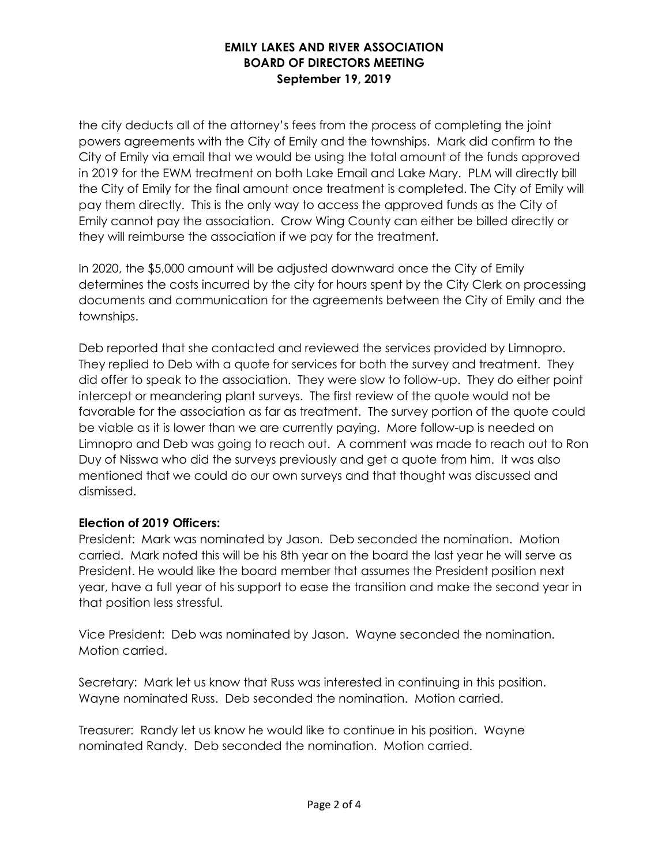the city deducts all of the attorney's fees from the process of completing the joint powers agreements with the City of Emily and the townships. Mark did confirm to the City of Emily via email that we would be using the total amount of the funds approved in 2019 for the EWM treatment on both Lake Email and Lake Mary. PLM will directly bill the City of Emily for the final amount once treatment is completed. The City of Emily will pay them directly. This is the only way to access the approved funds as the City of Emily cannot pay the association. Crow Wing County can either be billed directly or they will reimburse the association if we pay for the treatment.

In 2020, the \$5,000 amount will be adjusted downward once the City of Emily determines the costs incurred by the city for hours spent by the City Clerk on processing documents and communication for the agreements between the City of Emily and the townships.

Deb reported that she contacted and reviewed the services provided by Limnopro. They replied to Deb with a quote for services for both the survey and treatment. They did offer to speak to the association. They were slow to follow-up. They do either point intercept or meandering plant surveys. The first review of the quote would not be favorable for the association as far as treatment. The survey portion of the quote could be viable as it is lower than we are currently paying. More follow-up is needed on Limnopro and Deb was going to reach out. A comment was made to reach out to Ron Duy of Nisswa who did the surveys previously and get a quote from him. It was also mentioned that we could do our own surveys and that thought was discussed and dismissed.

# Election of 2019 Officers:

President: Mark was nominated by Jason. Deb seconded the nomination. Motion carried. Mark noted this will be his 8th year on the board the last year he will serve as President. He would like the board member that assumes the President position next year, have a full year of his support to ease the transition and make the second year in that position less stressful.

Vice President: Deb was nominated by Jason. Wayne seconded the nomination. Motion carried.

Secretary: Mark let us know that Russ was interested in continuing in this position. Wayne nominated Russ. Deb seconded the nomination. Motion carried.

Treasurer: Randy let us know he would like to continue in his position. Wayne nominated Randy. Deb seconded the nomination. Motion carried.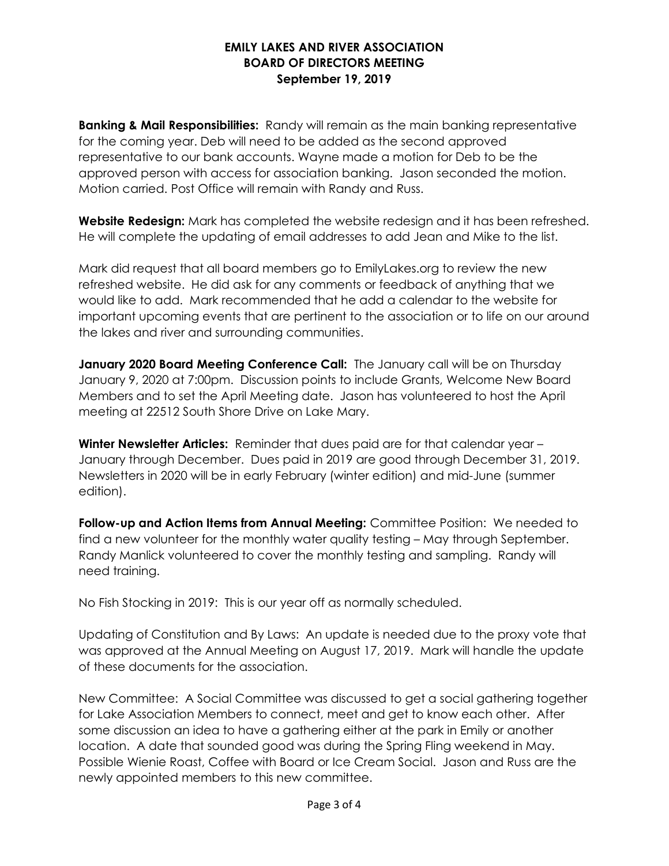Banking & Mail Responsibilities: Randy will remain as the main banking representative for the coming year. Deb will need to be added as the second approved representative to our bank accounts. Wayne made a motion for Deb to be the approved person with access for association banking. Jason seconded the motion. Motion carried. Post Office will remain with Randy and Russ.

Website Redesign: Mark has completed the website redesign and it has been refreshed. He will complete the updating of email addresses to add Jean and Mike to the list.

Mark did request that all board members go to EmilyLakes.org to review the new refreshed website. He did ask for any comments or feedback of anything that we would like to add. Mark recommended that he add a calendar to the website for important upcoming events that are pertinent to the association or to life on our around the lakes and river and surrounding communities.

January 2020 Board Meeting Conference Call: The January call will be on Thursday January 9, 2020 at 7:00pm. Discussion points to include Grants, Welcome New Board Members and to set the April Meeting date. Jason has volunteered to host the April meeting at 22512 South Shore Drive on Lake Mary.

Winter Newsletter Articles: Reminder that dues paid are for that calendar year -January through December. Dues paid in 2019 are good through December 31, 2019. Newsletters in 2020 will be in early February (winter edition) and mid-June (summer edition).

Follow-up and Action Items from Annual Meeting: Committee Position: We needed to find a new volunteer for the monthly water quality testing – May through September. Randy Manlick volunteered to cover the monthly testing and sampling. Randy will need training.

No Fish Stocking in 2019: This is our year off as normally scheduled.

Updating of Constitution and By Laws: An update is needed due to the proxy vote that was approved at the Annual Meeting on August 17, 2019. Mark will handle the update of these documents for the association.

New Committee: A Social Committee was discussed to get a social gathering together for Lake Association Members to connect, meet and get to know each other. After some discussion an idea to have a gathering either at the park in Emily or another location. A date that sounded good was during the Spring Fling weekend in May. Possible Wienie Roast, Coffee with Board or Ice Cream Social. Jason and Russ are the newly appointed members to this new committee.